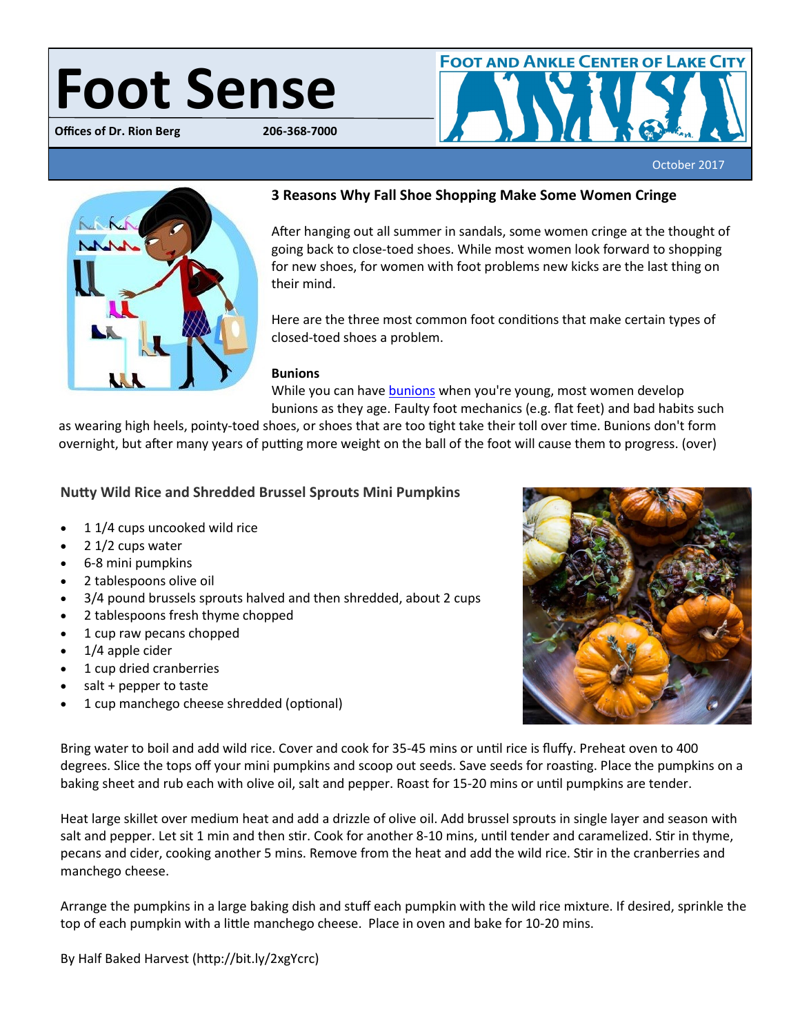# **Foot Sense**

**Offices of Dr. Rion Berg** 



October 2017



# **3 Reasons Why Fall Shoe Shopping Make Some Women Cringe**

After hanging out all summer in sandals, some women cringe at the thought of going back to close-toed shoes. While most women look forward to shopping for new shoes, for women with foot problems new kicks are the last thing on their mind.

Here are the three most common foot conditions that make certain types of closed-toed shoes a problem.

## **Bunions**

While you can have **[bunions](http://www.bergdpm.com/bunions.html/)** when you're young, most women develop bunions as they age. Faulty foot mechanics (e.g. flat feet) and bad habits such

as wearing high heels, pointy-toed shoes, or shoes that are too tight take their toll over time. Bunions don't form overnight, but after many years of putting more weight on the ball of the foot will cause them to progress. (over)

# **Nutty Wild Rice and Shredded Brussel Sprouts Mini Pumpkins**

- 1 1/4 cups uncooked wild rice
- $\bullet$  2 1/2 cups water
- 6-8 mini pumpkins
- 2 tablespoons [olive oil](http://thrv.me/HBHrancholiveoil)
- 3/4 pound brussels sprouts halved and then shredded, about 2 cups
- 2 tablespoons fresh thyme chopped
- 1 cup [raw pecans](http://thrv.me/px3Vh8) chopped
- $\bullet$  1/4 apple cider
- 1 cup dried cranberries
- salt + pepper to taste
- 1 cup manchego cheese shredded (optional)



Bring water to boil and add wild rice. Cover and cook for 35-45 mins or until rice is fluffy. Preheat oven to 400 degrees. Slice the tops off your mini pumpkins and scoop out seeds. Save seeds for roasting. Place the pumpkins on a baking sheet and rub each with olive oil, salt and pepper. Roast for 15-20 mins or until pumpkins are tender.

Heat large skillet over medium heat and add a drizzle of olive oil. Add brussel sprouts in single layer and season with salt and pepper. Let sit 1 min and then stir. Cook for another 8-10 mins, until tender and caramelized. Stir in thyme, pecans and cider, cooking another 5 mins. Remove from the heat and add the wild rice. Stir in the cranberries and manchego cheese.

Arrange the pumpkins in a large baking dish and stuff each pumpkin with the wild rice mixture. If desired, sprinkle the top of each pumpkin with a little manchego cheese. Place in oven and bake for 10-20 mins.